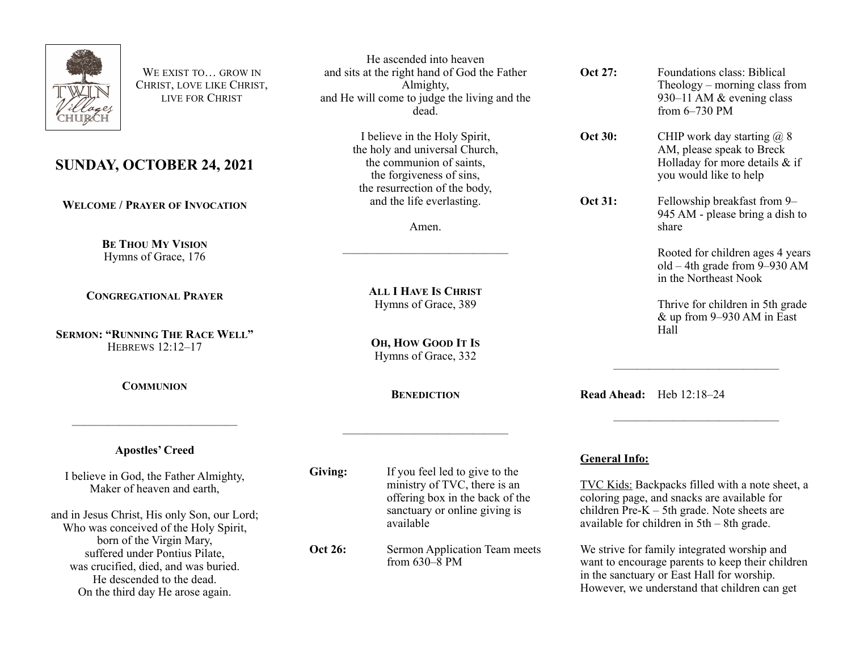

WE EXIST TO **GROW IN** CHRIST, LOVE LIKE CHRIST, LIVE FOR CHRIST

## **SUNDAY, OCTOBER 24, 2021**

**WELCOME / PRAYER OF INVOCATION**

**BE THOU MY VISION** Hymns of Grace, 176

**CONGREGATIONAL PRAYER**

**SERMON: "RUNNING THE RACE WELL"** HEBREWS 12:12–17

**COMMUNION**

——————————————

**Apostles' Creed**

I believe in God, the Father Almighty, Maker of heaven and earth,

and in Jesus Christ, His only Son, our Lord; Who was conceived of the Holy Spirit, born of the Virgin Mary, suffered under Pontius Pilate, was crucified, died, and was buried. He descended to the dead. On the third day He arose again.

He ascended into heaven and sits at the right hand of God the Father Almighty, and He will come to judge the living and the dead.

> I believe in the Holy Spirit, the holy and universal Church, the communion of saints, the forgiveness of sins, the resurrection of the body, and the life everlasting.

> > Amen.

——————————————

**ALL I HAVE IS CHRIST** Hymns of Grace, 389

**OH, HOW GOOD IT IS** Hymns of Grace, 332

**BENEDICTION**

——————————————

**Oct 31:** Fellowship breakfast from 9–

**Oct 27:** Foundations class: Biblical

from 6–730 PM

**Oct 30:** CHIP work day starting @ 8

945 AM - please bring a dish to share

AM, please speak to Breck Holladay for more details & if

you would like to help

Rooted for children ages 4 years old – 4th grade from 9–930 AM in the Northeast Nook

Theology – morning class from 930–11 AM & evening class

Thrive for children in 5th grade & up from 9–930 AM in East Hall

**Read Ahead:** Heb 12:18–24

**Giving:** If you feel led to give to the

ministry of TVC, there is an offering box in the back of the sanctuary or online giving is available

**Oct 26:** Sermon Application Team meets from  $630-\overline{8}$  PM

## **General Info:**

TVC Kids: Backpacks filled with a note sheet, a coloring page, and snacks are available for children  $Pre-K - 5th$  grade. Note sheets are available for children in 5th – 8th grade.

——————————————

——————————————

We strive for family integrated worship and want to encourage parents to keep their children in the sanctuary or East Hall for worship. However, we understand that children can get